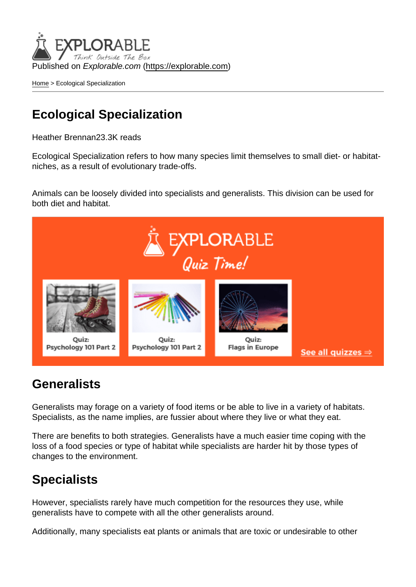Published on Explorable.com (<https://explorable.com>)

[Home](https://explorable.com/) > Ecological Specialization

## Ecological Specialization

Heather Brennan23.3K reads

Ecological Specialization refers to how many species limit themselves to small diet- or habitatniches, as a result of evolutionary trade-offs.

Animals can be loosely divided into specialists and generalists. This division can be used for both diet and habitat.

## **Generalists**

Generalists may forage on a variety of food items or be able to live in a variety of habitats. Specialists, as the name implies, are fussier about where they live or what they eat.

There are benefits to both strategies. Generalists have a much easier time coping with the loss of a food species or type of habitat while specialists are harder hit by those types of changes to the environment.

## **Specialists**

However, specialists rarely have much competition for the resources they use, while generalists have to compete with all the other generalists around.

Additionally, many specialists eat plants or animals that are toxic or undesirable to other